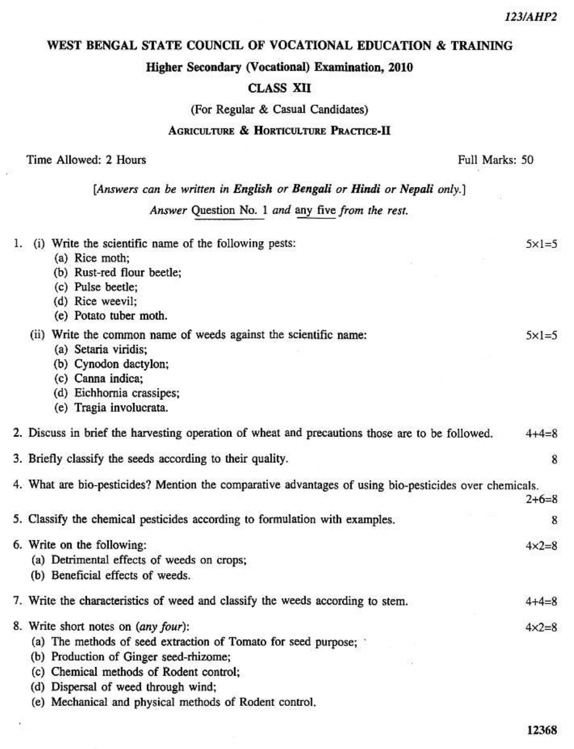### WEST BENGAL STATE COUNCIL OF VOCATIONAL EDUCATION & TRAINING

### Higher Secondary (Vocational) Examination, 2010

### **CLASS XII**

(For Regular & Casual Candidates)

#### **AGRICULTURE & HORTICULTURE PRACTICE-II**

| Time Allowed: 2 Hours |  |
|-----------------------|--|
|-----------------------|--|

Full Marks: 50

[Answers can be written in English or Bengali or Hindi or Nepali only.]

Answer Question No. 1 and any five from the rest.

| 1. | (i) Write the scientific name of the following pests:                                                  | $5 \times 1 = 5$ |
|----|--------------------------------------------------------------------------------------------------------|------------------|
|    | (a) Rice moth;                                                                                         |                  |
|    | (b) Rust-red flour beetle;                                                                             |                  |
|    | (c) Pulse beetle;                                                                                      |                  |
|    | (d) Rice weevil;                                                                                       |                  |
|    | (e) Potato tuber moth.                                                                                 |                  |
|    | (ii) Write the common name of weeds against the scientific name:                                       | $5x = 5$         |
|    | (a) Setaria viridis;                                                                                   |                  |
|    | (b) Cynodon dactylon;                                                                                  |                  |
|    | (c) Canna indica;                                                                                      |                  |
|    | (d) Eichhornia crassipes;                                                                              |                  |
|    | (e) Tragia involucrata.                                                                                |                  |
|    | 2. Discuss in brief the harvesting operation of wheat and precautions those are to be followed.        | $4 + 4 = 8$      |
|    | 3. Briefly classify the seeds according to their quality.                                              | 8                |
|    | 4. What are bio-pesticides? Mention the comparative advantages of using bio-pesticides over chemicals. |                  |
|    |                                                                                                        | $2+6=8$          |
|    | 5. Classify the chemical pesticides according to formulation with examples.                            | 8                |
|    | 6. Write on the following:                                                                             | $4 \times 2 = 8$ |
|    | (a) Detrimental effects of weeds on crops;                                                             |                  |
|    | (b) Beneficial effects of weeds.                                                                       |                  |
|    | 7. Write the characteristics of weed and classify the weeds according to stem.                         | $4 + 4 = 8$      |
|    | 8. Write short notes on (any four):                                                                    | $4 \times 2 = 8$ |
|    | (a) The methods of seed extraction of Tomato for seed purpose;                                         |                  |
|    | (b) Production of Ginger seed-rhizome;                                                                 |                  |
|    | (c) Chemical methods of Rodent control;                                                                |                  |
|    | (d) Dispersal of weed through wind;                                                                    |                  |
|    | (e) Mechanical and physical methods of Rodent control.                                                 |                  |
|    |                                                                                                        |                  |